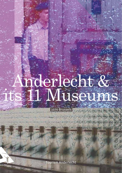# Anderlecht & its 11 Museums

1070 Brussels

 $\epsilon_1(\epsilon_1(\epsilon_2)(\epsilon_3)(\epsilon_4)(\epsilon_5)(\epsilon_6)$ 

 $\left(\mathbf{S}\right)\left(\mathbf{S}\right)\left(\mathbf{O}\right)\left(\mathbf{O}\right)$  $(3)(0)(0)(0)(0)(0)$ 

Tourism Anderlecht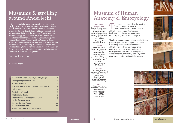#### Museums & strolling around Anderlecht

Anderlecht hosts no less than eleven museums on<br>the Museum of the Erasmus House and the poems<br>of Maurice Carême, Scientists cannot ignore the University its territory. Literature lovers can choose between of Maurice Carême. Scientists cannot ignore the University Museum of Medicine and the Museum of Human Anatomy and Embryology. Passionate history lovers follow ancient footsteps towards the "Luizenmolen", the Beguinage, the National Resistance Museum and the Museum of China. Artists will be impressed by the Hall of Fame, a huge "outdoor museum" with wall paintings. Gastronomes and fine food lovers definitely have to visit the Gueuze Museum – Cantillon Brewery, to discover its production secrets and of course to have a taste of these amazing beers.

Enjoy your discovery tour!

Eric Tomas *Mayor*

| Museum of Human Anatomy & Embryology                         | 1              |
|--------------------------------------------------------------|----------------|
| The Beguinage of Anderlecht                                  | $\overline{2}$ |
| Museum of China                                              | $\overline{3}$ |
| Brussels Gueuze Museum - Cantillon Brewery                   | 4              |
| Hall of Fame                                                 | 5              |
| The Luizen Windmill                                          | 6              |
| The Erasmus House                                            | 8              |
| The Medicinal & Philosophical Garden<br>of the Erasmus House | 9              |
| Maurice Carême Museum                                        | 10             |
| <b>Museum of Medicine</b>                                    | 11             |
| National Museum of the Resistance                            | 12             |

#### Museum of Human Anatomy & Embryology

This museum is located on the medical<br>
faculty campus of Anderlecht. It<br>
contains multiple authentic specimens<br>
of the burnar anatomy (parts preserved faculty campus of Anderlecht. It

Thanks to numerous normal teratological foetal parts, shapes and iconographic documents,

of the human anatomy (parts preserved in alcohol, plastinated body parts, and skeletal parts) as well as mouldings, etc.

**Practical information:** Opening days and hours: Upon request only, priority for groups Guided tours: Only upon request (min. 20 people) Bookings: T. +32 2 555 63 76 F. +32 2 555 63 78 anatemb@ulb.ac.be

**Address:** Museum of Human Anatomy and Embryology – Erasmus Campus – Faculty of Medicine Building G, level 2  $ULB - PC 619$ Laboratory for Anatomy, Biomechanics and Organogenesis. Route de Lennik 808 1070 Brussels it perfectly illustrates the development of the human body. An entire section is dedicated to bone diseases and several displays contain exceptional examples of dental anatomy, contrasting anatomy of the masticatory system and dental disorders.

**Access:**

Plan: www.ulb.ac.be/ docs/campus/erasme.html Bus: 74 - 98 - F - LK - RH Metro: line 5 (stop Erasmus) Accessible for persons with reduced mobility

**Info:** Museum of Human Anatomy and Embryology Erasmus Campus Faculty of Medicine  $T$  +32 2 555 63 76 F. +32 2 555 63 78 labo@ulb.ac.be









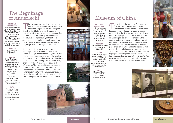#### The Beguinage of Anderlecht

#### **Practical information:**

Open every day, except on Mondays, from 10 to 12 pm and from 2 to 5 pm. Open on bank holidays, except on December 25<sup>th</sup> and January 1<sup>st</sup> Specialised bookstore. The documentation and research centre is accessible upon request at the Erasmus House

two of the most ancient Belgian municipal museums. Together with the Collegiate Church of Saint Peter and Guy, they represent quite a historical set. They are all reminders of the glorious past of the municipality of Anderlecht. The city evolved significantly in the Middle Ages thanks to the cult of Guy, patron saint for livestock and to its privileged location on the pilgrimage road to Santiago de Compostela.

#### **Address:** Rue du Chapelain, 8 1070 Anderlecht

(Brussels) **Access:**

By car: Ring O, exit 14 "Pede Moortebeek", follow the Boulevard Sylvain Dupuis, at the 2<sup>nd</sup> traffic lights, follow the road sign Erasmus House By train: from the Gare du Midi. Tram: 81, (stop Saint-Guidon) Metro: Line 5 direction Frasmus. (stop Saint-Guidon) Ground floor accessible for wheelchairs

**Info:** The Erasmus House T. +32 2 521 13 83 F. +32 2 527 12 69 info@erasmushouse. museum www.erasmushouse. museum

he Erasmus House and the Beguinage are

Thanks to the donation of a canon, a small beguinage for eight women was built in 1252 within walking distance of the Collegiate Church. In 1930, the museum was created in the smallest beguinage of Belgium, where once eight beguines were housed. The buildings consist of two wings (one built in the 16th century, the other in the 18<sup>th</sup> century). They were built around a charming garden, with view on the Collegiate Church, whose construction began around the second half of the 14<sup>th</sup> century. The museum contains an archaeological collection, religious art and folk art retracing the ancient history of Anderlecht.









### Museum of China

**Practical information:** Only upon request: guided tour (1 hour) or free tours. A catalogue with a brief explanation on the exhibited pieces is available. Free entry

**Address:** Chaussée de Ninove, 548 1070 Anderlecht (Brussels)

**Access:** Metro: Gare de l'Ouest, Bus: 89 (stop Henri Rey), De Lijn Bus 127, 128, 136 and 138 (stop Obus) Accessible for

wheelchairs and persons with reduced mobility Parking facilities

**Info:** Museum of China T. +32 2 526 14 00  $F + 3225533048$ reception@scheut.be

Ine origin of the Museum of China goes back to 1862. The first missionaries carried remarkable collector items in their luggage. Some of them were found by ethnology missionaries. The first section is dedicated to the Chinese language and its script. It also contains an amazing collection of ancient coins. The second section provides a general overview of Chinese and Mongolian daily life, illustrated by different objects. The third section focuses on popular beliefs in China and in Mongolia, as well as on different religions such as Confucianism, Taoism, Buddhism and Lamaism. The last section highlights the evangelization of China and the four major contact periods with Christianity. The museum also houses a portrait gallery of more than 3.000 missionaries from all over the world.







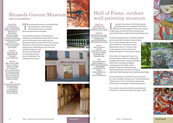#### Brussels Gueuze Museum **Cantillon Brewery**

**Practical information:**

Open from Monday till Friday from 9 am till 5 pm, Saturday from 10 am till 5 pm Closed on Sundays and bank holidays. The entrance fee includes a tasting session at the end of the visit. Guided tours for groups can be organised upon request

he Gueuze Museum is an established family brewery where typical beer varieties such as Lambic, Gueuze and Kriek are brewed.

The Cantillon Brewery is an authentic, traditional and pleasant place which invites you for a discovery tour exploring the Brussels brewery universe of the 19<sup>th</sup> century. Machinery and manufacturing processes are genuine. Depending on the time you

**AdDress:** Rue Gheude, 56 1070 Anderlecht (Brussels) www.cantillon.be spend visiting, you can attend a brewing and/ or a bottling session, barrel cleaning or the making of fruit beers.

**Access:** Metro: Gare du Midi Tram: nr 3 and nr 4 (stop Gare du Midi  $or "Lemonnier")$ nr 81 (stop Place Bara) The museum is spread out over 3 floors with stairs. The access for people with reduced mobility is difficult

**Info :** Brussels Gueuze Museum Cantillon Brewery T. +32 2 521 49 28 F. +32 2 520 28 91 info@cantillon.be www.cantillon.be









#### Hall of Fame, outdoor wall painting museum

**Practical information:** Open all year round Guided tours: upon request

**AdDress:** Hall of Fame at the edge of the Ponds' Park and the Neerpede basin Avenue Marius Renard 1070 Anderlecht (Brussels)

**Access:** Tram: 81 terminus Bus: 46 Accessible for persons with reduced moblity and wheelchairs. Parking facilities

**Info:** Tourism Anderlecht Rue du Chapelain, 1-7 1070 Anderlecht (Brussels) T. +32 2 526 83 65 tourism@anderlecht. brussels www.anderlecht.be Facebook: Tourism d'Anderlecht

ISCOCATE OF the Heart of the Park System<br>
of Anderlecht, at the edge of the Ponds'<br>
Park and the classified semi natural park<br>
of Negrade the Hall of Fame extends over of Anderlecht, at the edge of the Ponds' of Neerpede, the Hall of Fame extends over several kilometres under the Brussels Ring road.

As modern palimpsests, hundreds of pillars are covered with multiple coats of paint. This art form developed over time

and continents. It however seems dedicated to the 21st century with a new impulse all over the world. Anderlecht gave it a very special space.

This street art engraves its soul in a thousand ways: abstract calligraffiti (tangled, decorative, mostly scribbled characters) standing alongside masterpieces of graffiti artists (realistic, abstract wall paintings inspired by the art of comics or music) and stencilled drawings (more stylized paintings).

A free expression of aesthetics, provocations, art, love, rebellion, humour, etc. This by definition ephemeral art form constantly rejuvenates itself under the impulse of urban expression.

This outdoor museum exhibits contemporary artworks for all and everyone 365 days a year!







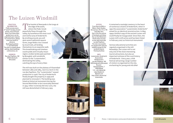#### The Luizen Windmill

#### **Practical information:**

Public access every 2<sup>nd</sup> and 4<sup>th</sup> Sunday of each month, from 2 till 5 pm. Apart from these days, guided tours can be organised upon request. For school tours, please book one month in advance. Bookings by phone: T. +32 2 523 32 49 The site is a superb photo setting, ideal weddings, communions, etc

**Address:** Rue des Papillons, 192 1070 Anderlecht

(Brussels)

the edge of Brussels, where the Pede brook peacefully flows through the valley, by excellence the most rural and restful area of Anderlecht. By strolling around, you will spot some traditional square farms, large fields criss-crossed by local trails, all lending themselves to an exquisite walk. This breathtaking and timeless countryside and virtually intact region, evokes landscapes painted by Breughel, with windmills similar to the "Luizenmolen", dominating the valley, catching the eye of every hiker.

The mill was built on the plateau of Vlasendael between 1862 and 1864, next to a farm in the rue des Papillons. The "Luizenmolen" ceased production in 1928. The city of Anderlecht finally bought the property in 1939 and planned to renovate it. The building was listed as historical monument during the Second World War to be irrevocably delisted in 1954 ! After it entirely fell into ruins, the mill was demolished in February 1955.







**Access:** From Gare du Midi or Metro: Saint-Guidon, De Lijn bus: 116, 117 or 118 (stop Bon Air), then cross the avenue d'Itterbeek and follow the rue Van Rijmenant till the end to access on the right hand side rue des Papillons. The site is accessible for people with reduced mobility except for the

windmill (stairs). Parking facilities **Info:** Luizenmolen-Anderlecht Association: Headquarters: rue des Papillons, 192 1070 Anderlecht (Brussels)

By post: Gemeenteplein, 7 1700 Dilbeek T./F. +32 2 520 43 59 robertdiederich @gmail.com http://users.skynet.be/ luizenmolen

It remained a nostalgic memory in the heart of numerous citizens of Anderlecht, when in 1992 the association "Luizenmolen-Anderlecht" aimed for an identical reconstruction. In May 1999 a faithful copy of the ancient Luizen mill could finally be inaugurated. Since then, the Luizen mill is still active and has been listed in February 2007 as historical monument!

Various educational activities are regularly organised in the mill. Nowadays, the Luizen mill is not only one of the most interesting tourist attractions, but also an important witness of the rural history of Anderlecht. Every year, a folk festival attracting a large number of visitors is organised on the site, enchanting for young and old alike!







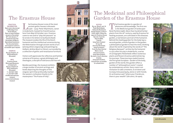### The Erasmus House

**Practical information:** Open every day except on Mondays from 10 am till 6 pm. Open on bank holidays except on December 25<sup>th</sup> and January 1st. Closed as from mid December till March. Specialised bookstore. The documentation and research centre is accessible upon request

in Anderlecht, hosted his friend Erasmus here from May till October 1521. Erasmus came to rest and to "play the peasant" as he wrote in his letters to Guillaume Budé. The museum evokes the life of the Dutch (among others engravings and paintings by a collection of gothic and renaissance furniture.

**Address:** Rue du Chapitre, 31 1070 Anderlecht (Brussels)

**Info:** Erasmus House Municipal Museums of Anderlecht Rue du chapitre 31 1070 Anderlecht (Brussels) T. +32 2 521 13 83 F. +32 2 527 12 69 info@erasmushouse. museum www.erasmushouse. museum

The Erasmus House is one of the most<br>
ancient gothic houses in Brussels<br>
(1460 – 1515). Pieter Wijchmans, canon<br>
in Anderlecht, bested bis friend Fragmus ancient gothic houses in Brussels humanist and the intellectual universe during the Reformation through ancient works of art Holbein, Jérôme Bosch or Dürer), surrounded by

Visitors will appreciate the reflective and familiar universe of Erasmus, a great philologist and theologian, a disciple of tolerance and free will.

Besides paintings, the museum exhibits a large number of ancient writings and books depicting the thoughts of this singular spirit that profoundly marked the western civilization thanks to his masterpiece "The Praise of Folly".









#### The Medicinal and Philosophical Garden of the Erasmus House

**Access:** By car: Ring O, exit 14 Pede Moortebeek, follow the Boulevard Sylvain Dupuis, at the 2<sup>nd</sup> traffic lights, follow the signs for Erasmus House By train: from the Gare du Midi, Tram 81: (stop Saint-Guidon) Or bus 49: direction Bockstael, (stop Formanoir) From the Gare Central Metro: line 5, direction Erasme, (stop Saint Guidon) By metro: Line 5, direction Erasme, (stop Saint Guidon). Ground floor accessible for wheelchairs

The Erasmus garden is a garden of<br>
is the Medicinal garden of landscaper<br>
Repé Rechère (1987), More than bundred berk pleasures and knowledge. The first one René Pechère (1987). More than hundred herbal plants from the 16th century, used by Erasmus for healing purposes, are cultivated in this diseases garden, a real botanic portrait of the humanist. Behind this healing garden for the body lays a second garden, a kind of garden in the garden: a philosophical garden to heal the mind, thinking about the world. Inspired by the words of "The Religious Banquet", written by the humanist in 1521 after his stay in Anderlecht, a series of cartographic flowerbeds reflect numerous plants and flowers Erasmus admired during his journeys. These journeys made Erasmus the first great European. Garden of the body, garden of the world, this garden offers a number of "philosophical rooms" created by contemporary artists. Every room is an invitation to take a moment, to sit down and to enjoy time passing by, alone or with friends. Or as Erasmus said "where your friends are, there is your wealth" (Ubi amici, ibi opes).







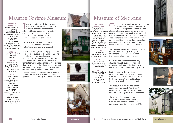





### Maurice Carême Museum

**Practical information:** Open on Wednesdays from 10 am till 5 pm except on bank holidays and on the last Wednesday of December. Guided tours only upon request. Bookings: T. +32 2 521 67 75 Special welcome upon request, for researchers and academics for literary and musical research

In these premises, the living enviror<br>of the poet, together with his antic<br>furniture, ancient dinnerware and<br>arthurcks (Bolgian painters and sculpts n these premises, the living environment of the poet, together with his antique artworks (Belgian painters and sculptors) are kept intact. The museum also exhibits portraits of Maurice Carême, as well as illustrations of his poetry.

as a true reflection of the houses built in Brabant, the home county of the poet.

**Address:**

Avenue Nellie Melba, 14 1070 Anderlecht (Brussels)

**Access:**

Tram: 81 (till 8 pm) 31 (after 8 pm) Bus: 46, 75, 89 and 118 Metro: Line 5 stop "Veeweyde" or "Saint-Guidon"

**Info:**

Maurice Carême Foundation Avenue Nellie Melba, 14 1070 Anderlecht (Brussels) T. +32 2 521 67 75 F. +32 2 520 20 86 fondation@ mauricecareme.be www.mauricecareme.be Facebook: Maurice Carême The museum is not accessible for people with a reduced mobility or wheelchairs

"THE WHITE HOUSE" was built in 1933 In an archive room, specially equipped for the

heritage preservation of the Maurice Carême Foundation, the Museum houses all the works of the poet, his manuscripts, written documents, sound and audiovisual material, translated works and poems set to music (more than two thousand three hundred partitures of the two thousand eight hundred are still intact), the photo library, the map library (the poet creative places), movies dedicated to Maurice Carême, the massive correspondence and a specialised poems library from all over the world.









## Museum of Medicine

The Museum of Medicine owns a collection<br>
of 10.000 objects, each of them giving a<br>
different perspective on the evolution<br>
of medical ccinnes pointings minitures of 10.000 objects, each of them giving a

of medical science : paintings, miniatures, engravings, lithographs, ancient books, amulets, statues, medicine boxes, warfare pharmacies, oracle plates and surgical instruments. The originality of this exhibition lies into the fact of using art for illustrating the evolution of medical concepts throughout history.

The great hall is dedicated to a chronological journey from Antiquity to today, from anaesthesia back to the invention of the first sounding instruments, etc.

**Practical information:** Visits from Monday till Friday from 1 pm till 4 pm. Upon request, guided tours of approximately 1 hour up to 1 and a half hours can be organised for groups every day, including weekends. Temporary exhibitions Documentation centre Scientific events centre. Auditorium with 130 seats

**Address:** Campus Erasme Route de Lennik, 808 1070 Anderlecht (Brussels)

**Access:** Metro: Erasme Accessible for people with reduced mobility and wheelchairs

**Info:** Museum of Medicine T. +32 2 555 34 31  $F$  +32 2 555 34 71 museemed@ erasme.ulb.ac.be Facebook: Musée de la Médecine

with resection stones in the urinary tract, etc. In other rooms, visitors are touring between ancient Egypt to Mesopotamia, from pre-Columbian medicine practiced by the Aztecs, the Mayas and the Incas to the use of magic in the healing art.

One exhibition hall relates the history of surgery, mainly during the war, with trepanning and amputation instruments,

The museum also houses a collection of anatomical wax models from the 19th century: heads suffering from eruptions, deformities of all types, a sword swallower, ...

The so-called "Spitzner Hell" room, restricted to an informed audience, is devoted to venereal diseases : an impressive prevention tool against STDs!

10 Photo: © A Dedobbeleer 11 Museums 11 Museums 11 Photos: © Administration communale d'Anderlecht & © A Dedobbeleer 1070 Brussels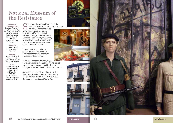### National Museum of the Resistance

**Practical information:**

Open from Monday till Friday from 9 am till 12 pm and from 1 pm till 4.45 pm. Guided tours upon request (for groups of about 15 people). **Archives** Documentation Centre Library

**Address:** Rue Van Lint, 14 1070 Anderlecht (Brussels) **Access:** Metro: Gare du Midi or Clemenceau Tram: 81 (stop Van Lint) Bus: 46 (stop Albert) **Info:** National Museum of the Resistance Rue Van Lint, 14 1070 Anderlecht (Brussels)  $T + 32255224041$ museum.resistance. verzet@gmail.com

Since 1972, the National Museum of the<br>Resistance is settled in the ancient Lau<br>printing and photoengraving workshop. Resistance groups, partisans and former political prisoners during the Second World war considered it a duty to posterity to leave testimonials and authentic documents used by the resistance against the Nazi invaders.

Several rooms and displays are dedicated to civil and military acts of resistance, to clandestine press and to deportations.

Resistance weapons, helmets, flags, badges, emblems, armbands, uniforms, funeral urns, photos, newspapers and leaflets are displayed in the different rooms of the museum.

Resistance is settled in the ancient Lauwers

printing and photoengraving

One room is dedicated to the horrors of the Nazi concentration camps. Another room is dedicated to the Spanish Civil war 1936-1939, the foreplay to the Second World War.







*<u>Parts</u>*